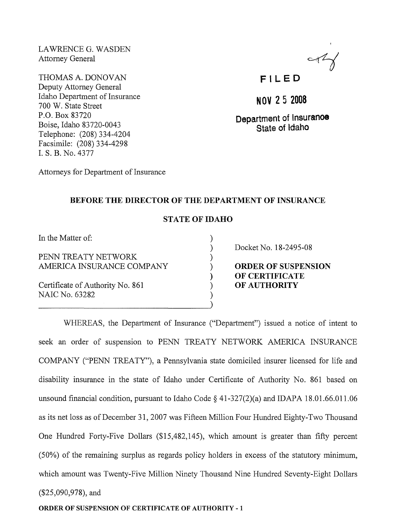LAWRENCE G. WASDEN Attorney General

THOMAS A. DONOVAN Deputy Attorney General Idaho Department of Insurance 700 W. State Street P.O. Box 83720 Boise, Idaho 83720-0043 Telephone: (208) 334-4204 Facsimile: (208) 334-4298 1. S. B. No. 4377

 $\ll 1$ 

# F I LED

**NOV 2 5 2008** 

**Department of Insuranoe State of Idaho** 

Attorneys for Department of Insurance

### **BEFORE THE DIRECTOR OF THE DEPARTMENT OF INSURANCE**

### **STATE OF IDAHO**

) ) ) ) ) ) ) )

In the Matter of:

PENN TREATY NETWORK AMERICA INSURANCE COMPANY

Certificate of Authority No. 861 NAIC No. 63282

Docket No. 18-2495-08

**ORDER OF SUSPENSION OF CERTIFICATE OF AUTHORITY** 

WHEREAS, the Department of Insurance ("Department") issued a notice of intent to seek an order of suspension to PENN TREATY NETWORK AMERICA INSURANCE COMP ANY ("PENN TREATY"), a Pennsylvania state domiciled insurer licensed for life and disability insurance in the state of Idaho under Certificate of Authority No. 861 based on unsound financial condition, pursuant to Idaho Code § 41-327(2)(a) and IDAPA 18.01.66.011.06 as its net loss as of December 31,2007 was Fifteen Million Four Hundred Eighty-Two Thousand One Hundred Forty-Five Dollars (\$15,482,145), which amount is greater than fifty percent (50%) of the remaining surplus as regards policy holders in excess of the statutory minimum, which amount was Twenty-Five Million Ninety Thousand Nine Hundred Seventy-Eight Dollars (\$25,090,978), and

#### **ORDER OF** SUSPENSION **OF CERTIFICATE OF AUTHORITY** - 1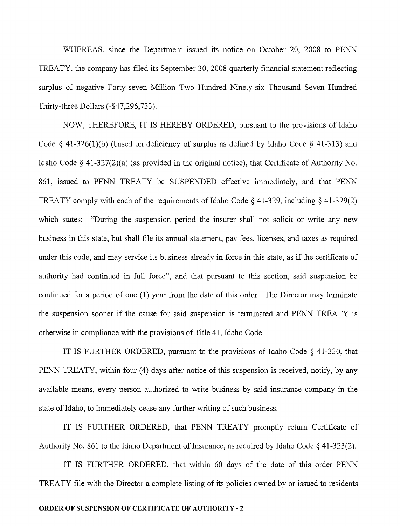WHEREAS, since the Department issued its notice on October 20, 2008 to PENN TREATY, the company has filed its September 30, 2008 quarterly financial statement reflecting surplus of negative Forty-seven Million Two Hundred Ninety-six Thousand Seven Hundred Thirty-three Dollars (-\$47,296,733).

NOW, THEREFORE, IT IS HEREBY ORDERED, pursuant to the provisions of Idaho Code  $\S$  41-326(1)(b) (based on deficiency of surplus as defined by Idaho Code  $\S$  41-313) and Idaho Code  $\S$  41-327(2)(a) (as provided in the original notice), that Certificate of Authority No. 861, issued to PENN TREATY be SUSPENDED effective immediately, and that PENN TREATY comply with each of the requirements of Idaho Code  $\S$  41-329, including  $\S$  41-329(2) which states: "During the suspension period the insurer shall not solicit or write any new business in this state, but shall file its annual statement, pay fees, licenses, and taxes as required under this code, and may service its business already in force in this state, as if the certificate of authority had continued in full force", and that pursuant to this section, said suspension be continued for a period of one (1) year from the date of this order. The Director may terminate the suspension sooner if the cause for said suspension is terminated and PENN TREATY is otherwise in compliance with the provisions of Title 41, Idaho Code.

IT IS FURTHER ORDERED, pursuant to the provisions of Idaho Code § 41-330, that PENN TREATY, within four (4) days after notice of this suspension is received, notify, by any available means, every person authorized to write business by said insurance company in the state of Idaho, to immediately cease any further writing of such business.

IT IS FURTHER ORDERED, that PENN TREATY promptly return Certificate of Authority No. 861 to the Idaho Department of Insurance, as required by Idaho Code  $\S$  41-323(2).

IT IS FURTHER ORDERED, that within 60 days of the date of this order PENN TREATY file with the Director a complete listing of its policies owned by or issued to residents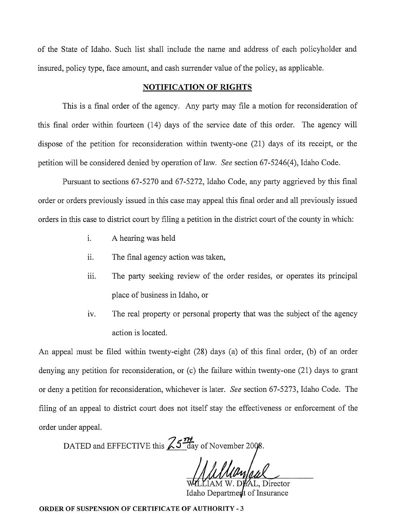of the State of Idaho. Such list shall include the name and address of each policyholder and insured, policy type, face amount, and cash surrender value of the policy, as applicable.

#### **NOTIFICATION OF RIGHTS**

This is a final order of the agency. Any party may file a motion for reconsideration of this final order within fourteen (14) days of the service date of this order. The agency will dispose of the petition for reconsideration within twenty-one (21) days of its receipt, or the petition will be considered denied by operation of law. *See* section 67-5246(4), Idaho Code.

Pursuant to sections 67-5270 and 67-5272, Idaho Code, any party aggrieved by this final order or orders previously issued in this case may appeal this final order and all previously issued orders in this case to district court by filing a petition in the district court of the county in which:

- i. A hearing was held
- ii. The final agency action was taken,
- iii. The party seeking review of the order resides, or operates its principal place of business in Idaho, or
- iv. The real property or personal property that was the subject of the agency action is located.

An appeal must be filed within twenty-eight (28) days (a) of this final order, (b) of an order denying any petition for reconsideration, or (c) the failure within twenty-one (21) days to grant or deny a petition for reconsideration, whichever is later. *See* section 67-5273, Idaho Code. The filing of an appeal to district court does not itself stay the effectiveness or enforcement of the order under appeal.

DATED and EFFECTIVE this  $\sqrt{25} \frac{\pi}{\text{day}}$  of November 2008.

L. Director Idaho Department of Insurance

**ORDER OF SUSPENSION OF CERTIFICATE OF AUTHORITY - 3**